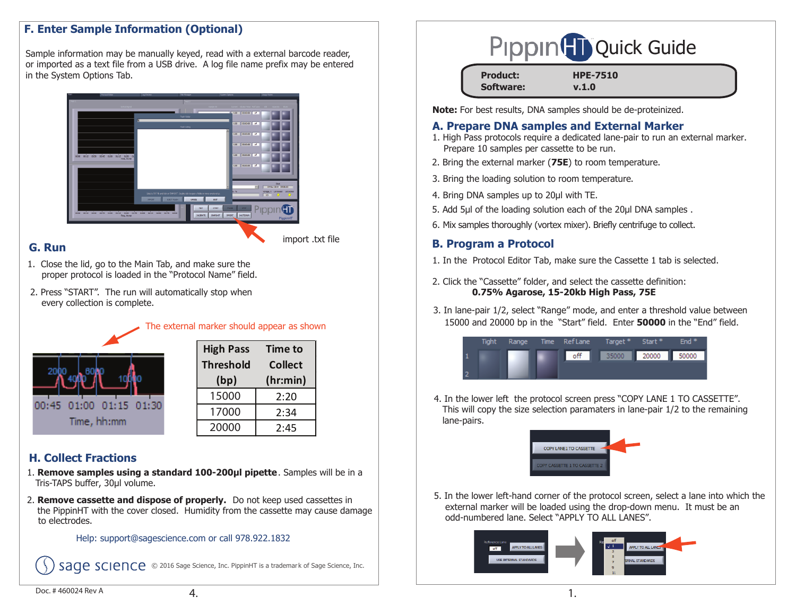# **F. Enter Sample Information (Optional)**

Sample information may be manually keyed, read with a external barcode reader, or imported as a text file from a USB drive. A log file name prefix may be entered in the System Options Tab.



### **G. Run**

import .txt file

- 1. Close the lid, go to the Main Tab, and make sure the proper protocol is loaded in the "Protocol Name" field.
- 2. Press "START". The run will automatically stop when every collection is complete.

| 00:45 01:00 01:15 01:30 |  |  |  |  |  |  |
|-------------------------|--|--|--|--|--|--|
| Time, hh:mm             |  |  |  |  |  |  |

| <b>High Pass</b> | <b>Time to</b><br><b>Collect</b> |  |
|------------------|----------------------------------|--|
| <b>Threshold</b> |                                  |  |
| (bp)             | (hr:min)                         |  |
| 15000            | 2:20                             |  |
| 17000            | 2:34                             |  |
| 20000            | 2:45                             |  |

The external marker should appear as shown

# **H. Collect Fractions**

- Tris-TAPS buffer, 30µl volume. 1. **Remove samples using a standard 100-200µl pipette**. Samples will be in a
- 2. **Remove cassette and dispose of properly.** Do not keep used cassettes in the PippinHT with the cover closed. Humidity from the cassette may cause damage to electrodes.

#### Help: support@sagescience.com or call 978.922.1832

SACE SCIENCE © 2016 Sage Science, Inc. PippinHT is a trademark of Sage Science, Inc.

| Pippin <sup>(T</sup> i) Quick Guide |
|-------------------------------------|
|-------------------------------------|

| <b>Product:</b>  | <b>HPE-7510</b> |
|------------------|-----------------|
| <b>Software:</b> | v.1.0           |

**Note:** For best results, DNA samples should be de-proteinized.

#### **A. Prepare DNA samples and External Marker**

- 1. High Pass protocols require a dedicated lane-pair to run an external marker. Prepare 10 samples per cassette to be run.
- 2. Bring the external marker (**75E**) to room temperature.
- 3. Bring the loading solution to room temperature.
- 4. Bring DNA samples up to 20μl with TE.
- 5. Add 5μl of the loading solution each of the 20μl DNA samples.
- 6. Mix samples thoroughly (vortex mixer). Briefly centrifuge to collect.

# **B. Program a Protocol**

- 1. In the Protocol Editor Tab, make sure the Cassette 1 tab is selected.
- 2. Click the "Cassette" folder, and select the cassette definition:  **0.75% Agarose, 15-20kb High Pass, 75E**
- 3. In lane-pair 1/2, select "Range" mode, and enter a threshold value between 15000 and 20000 bp in the "Start" field. Enter **<sup>50000</sup>** in the "End" field.

| <b>Tight</b> | Range | Time RefLane Target* |       | Start * | End $*$ |
|--------------|-------|----------------------|-------|---------|---------|
|              |       | off                  | 35000 | 20000   | 50000   |
|              |       |                      |       |         |         |

4. In the lower left the protocol screen press "COPY LANE 1 TO CASSETTE". This will copy the size selection paramaters in lane-pair 1/2 to the remaining lane-pairs.



5. In the lower left-hand corner of the protocol screen, select a lane into which the external marker will be loaded using the drop-down menu. It must be an odd-numbered lane. Select "APPLY TO ALL LANES".